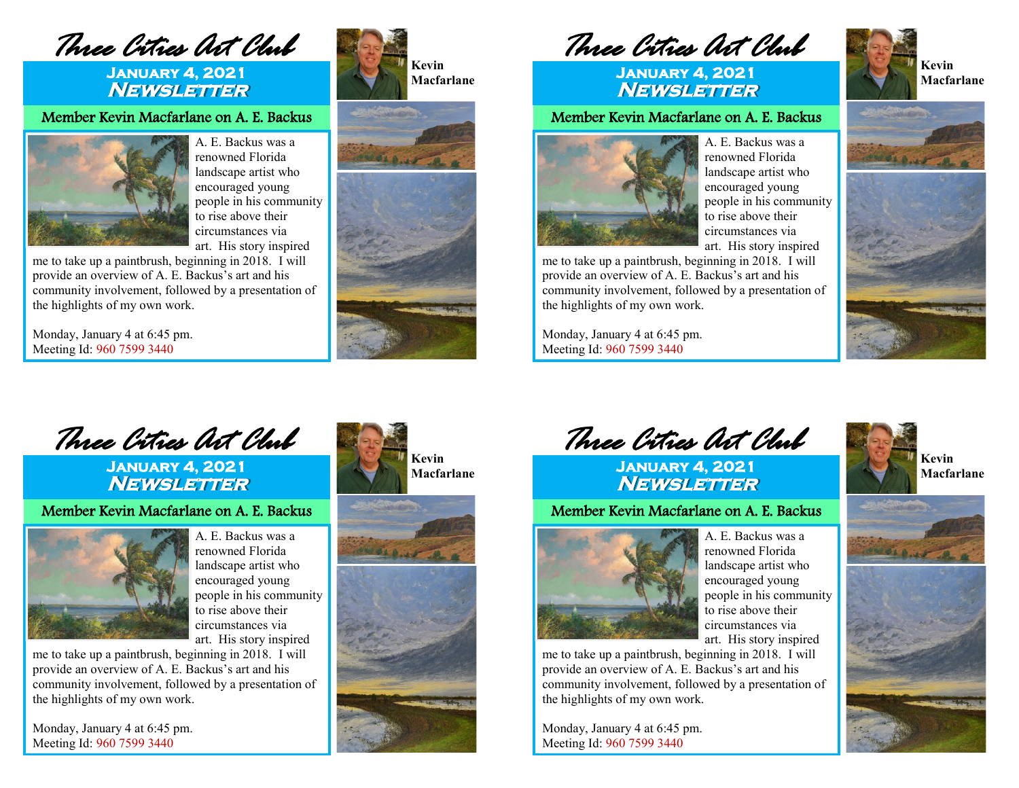*Three Cities Art Club* 

## **January 4, 2021 Newsletter**

Member Kevin Macfarlane on A. E. Backus



A. E. Backus was a renowned Florida landscape artist who encouraged young people in his community to rise above their circumstances via art. His story inspired

me to take up a paintbrush, beginning in 2018. I will provide an overview of A. E. Backus's art and his community involvement, followed by a presentation of the highlights of my own work.

Monday, January 4 at 6:45 pm. Meeting Id: 960 7599 3440







 *Three Cities Art Club* 

**January 4, 2021 Newsletter** 

## Member Kevin Macfarlane on A. E. Backus

A. E. Backus was a renowned Florida landscape artist who encouraged young people in his community to rise above their



circumstances via art. His story inspired me to take up a paintbrush, beginning in 2018. I will provide an overview of A. E. Backus's art and his community involvement, followed by a presentation of the highlights of my own work.

Monday, January 4 at 6:45 pm. Meeting Id: 960 7599 3440







 *Three Cities Art Club* 

**January 4, 2021 Newsletter** 

Member Kevin Macfarlane on A. E. Backus



A. E. Backus was a renowned Florida landscape artist who encouraged young people in his community to rise above their circumstances via art. His story inspired

me to take up a paintbrush, beginning in 2018. I will provide an overview of A. E. Backus's art and his community involvement, followed by a presentation of the highlights of my own work.

Monday, January 4 at 6:45 pm. Meeting Id: 960 7599 3440









 *Three Cities Art Club* 

**January 4, 2021 Newsletter** 

## Member Kevin Macfarlane on A. E. Backus



A. E. Backus was a renowned Florida landscape artist who encouraged young people in his community to rise above their circumstances via art. His story inspired

me to take up a paintbrush, beginning in 2018. I will provide an overview of A. E. Backus's art and his community involvement, followed by a presentation of the highlights of my own work.

Monday, January 4 at 6:45 pm. Meeting Id: 960 7599 3440



**Kevin Macfarlane**